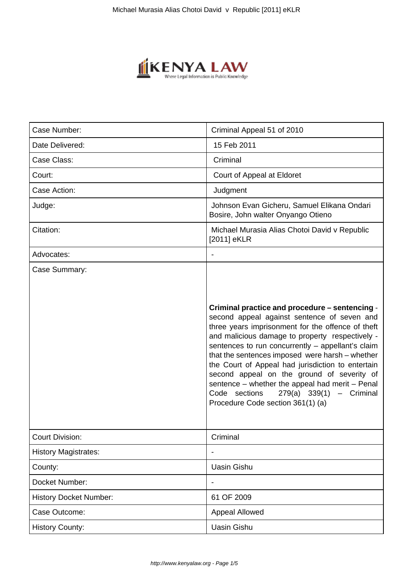

| Case Number:                            | Criminal Appeal 51 of 2010                                                                                                                                                                                                                                                                                                                                                                                                                                                                                                                                          |
|-----------------------------------------|---------------------------------------------------------------------------------------------------------------------------------------------------------------------------------------------------------------------------------------------------------------------------------------------------------------------------------------------------------------------------------------------------------------------------------------------------------------------------------------------------------------------------------------------------------------------|
| Date Delivered:                         | 15 Feb 2011                                                                                                                                                                                                                                                                                                                                                                                                                                                                                                                                                         |
| Case Class:                             | Criminal                                                                                                                                                                                                                                                                                                                                                                                                                                                                                                                                                            |
| Court:                                  | Court of Appeal at Eldoret                                                                                                                                                                                                                                                                                                                                                                                                                                                                                                                                          |
| Case Action:                            | Judgment                                                                                                                                                                                                                                                                                                                                                                                                                                                                                                                                                            |
| Judge:                                  | Johnson Evan Gicheru, Samuel Elikana Ondari<br>Bosire, John walter Onyango Otieno                                                                                                                                                                                                                                                                                                                                                                                                                                                                                   |
| Citation:                               | Michael Murasia Alias Chotoi David v Republic<br>[2011] eKLR                                                                                                                                                                                                                                                                                                                                                                                                                                                                                                        |
| Advocates:                              | $\blacksquare$                                                                                                                                                                                                                                                                                                                                                                                                                                                                                                                                                      |
| Case Summary:<br><b>Court Division:</b> | Criminal practice and procedure - sentencing -<br>second appeal against sentence of seven and<br>three years imprisonment for the offence of theft<br>and malicious damage to property respectively -<br>sentences to run concurrently - appellant's claim<br>that the sentences imposed were harsh - whether<br>the Court of Appeal had jurisdiction to entertain<br>second appeal on the ground of severity of<br>sentence - whether the appeal had merit - Penal<br>Code sections<br>$279(a) 339(1) - Criminal$<br>Procedure Code section 361(1) (a)<br>Criminal |
|                                         |                                                                                                                                                                                                                                                                                                                                                                                                                                                                                                                                                                     |
| <b>History Magistrates:</b>             |                                                                                                                                                                                                                                                                                                                                                                                                                                                                                                                                                                     |
| County:                                 | <b>Uasin Gishu</b>                                                                                                                                                                                                                                                                                                                                                                                                                                                                                                                                                  |
| Docket Number:                          |                                                                                                                                                                                                                                                                                                                                                                                                                                                                                                                                                                     |
| <b>History Docket Number:</b>           | 61 OF 2009                                                                                                                                                                                                                                                                                                                                                                                                                                                                                                                                                          |
| Case Outcome:                           | Appeal Allowed                                                                                                                                                                                                                                                                                                                                                                                                                                                                                                                                                      |
| <b>History County:</b>                  | <b>Uasin Gishu</b>                                                                                                                                                                                                                                                                                                                                                                                                                                                                                                                                                  |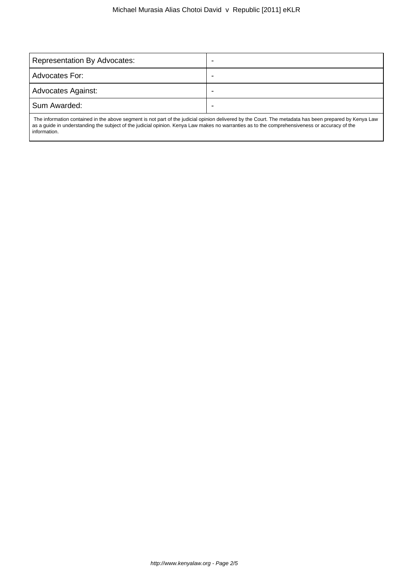| Representation By Advocates: |  |
|------------------------------|--|
| Advocates For:               |  |
| Advocates Against:           |  |
| Sum Awarded:                 |  |
|                              |  |

 The information contained in the above segment is not part of the judicial opinion delivered by the Court. The metadata has been prepared by Kenya Law as a guide in understanding the subject of the judicial opinion. Kenya Law makes no warranties as to the comprehensiveness or accuracy of the information.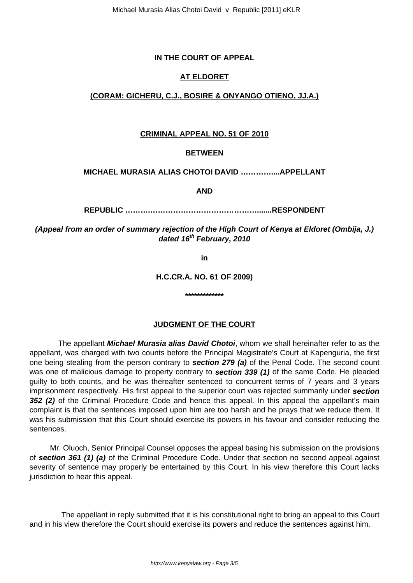## **IN THE COURT OF APPEAL**

## **AT ELDORET**

## **(CORAM: GICHERU, C.J., BOSIRE & ONYANGO OTIENO, JJ.A.)**

#### **CRIMINAL APPEAL NO. 51 OF 2010**

#### **BETWEEN**

#### **MICHAEL MURASIA ALIAS CHOTOI DAVID …………....APPELLANT**

**AND**

**REPUBLIC ……….…………………………………….......RESPONDENT**

**(Appeal from an order of summary rejection of the High Court of Kenya at Eldoret (Ombija, J.) dated 16th February, 2010**

**in**

**H.C.CR.A. NO. 61 OF 2009)**

**\*\*\*\*\*\*\*\*\*\*\*\*\***

## **JUDGMENT OF THE COURT**

The appellant **Michael Murasia alias David Chotoi**, whom we shall hereinafter refer to as the appellant, was charged with two counts before the Principal Magistrate's Court at Kapenguria, the first one being stealing from the person contrary to **section 279 (a)** of the Penal Code. The second count was one of malicious damage to property contrary to **section 339 (1)** of the same Code. He pleaded guilty to both counts, and he was thereafter sentenced to concurrent terms of 7 years and 3 years imprisonment respectively. His first appeal to the superior court was rejected summarily under **section 352 (2)** of the Criminal Procedure Code and hence this appeal. In this appeal the appellant's main complaint is that the sentences imposed upon him are too harsh and he prays that we reduce them. It was his submission that this Court should exercise its powers in his favour and consider reducing the sentences.

 Mr. Oluoch, Senior Principal Counsel opposes the appeal basing his submission on the provisions of **section 361 (1) (a)** of the Criminal Procedure Code. Under that section no second appeal against severity of sentence may properly be entertained by this Court. In his view therefore this Court lacks jurisdiction to hear this appeal.

 The appellant in reply submitted that it is his constitutional right to bring an appeal to this Court and in his view therefore the Court should exercise its powers and reduce the sentences against him.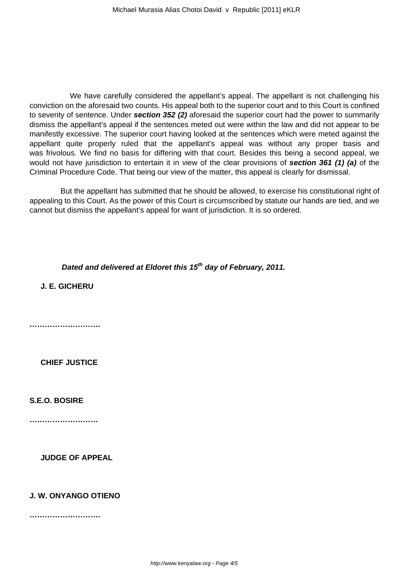We have carefully considered the appellant's appeal. The appellant is not challenging his conviction on the aforesaid two counts. His appeal both to the superior court and to this Court is confined to severity of sentence. Under **section 352 (2)** aforesaid the superior court had the power to summarily dismiss the appellant's appeal if the sentences meted out were within the law and did not appear to be manifestly excessive. The superior court having looked at the sentences which were meted against the appellant quite properly ruled that the appellant's appeal was without any proper basis and was frivolous. We find no basis for differing with that court. Besides this being a second appeal, we would not have jurisdiction to entertain it in view of the clear provisions of **section 361 (1) (a)** of the Criminal Procedure Code. That being our view of the matter, this appeal is clearly for dismissal.

 But the appellant has submitted that he should be allowed, to exercise his constitutional right of appealing to this Court. As the power of this Court is circumscribed by statute our hands are tied, and we cannot but dismiss the appellant's appeal for want of jurisdiction. It is so ordered.

**Dated and delivered at Eldoret this 15th day of February, 2011.**

**J. E. GICHERU**

**……………………….**

**CHIEF JUSTICE** 

**S.E.O. BOSIRE**

**………………………**

**JUDGE OF APPEAL**

## **J. W. ONYANGO OTIENO**

**……………………….**